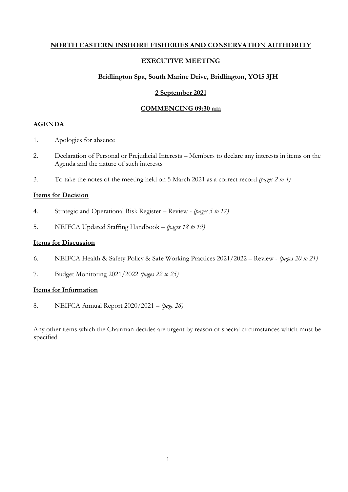#### **NORTH EASTERN INSHORE FISHERIES AND CONSERVATION AUTHORITY**

#### **EXECUTIVE MEETING**

#### **Bridlington Spa, South Marine Drive, Bridlington, YO15 3JH**

#### **2 September 2021**

#### **COMMENCING 09:30 am**

#### **AGENDA**

- 1. Apologies for absence
- 2. Declaration of Personal or Prejudicial Interests Members to declare any interests in items on the Agenda and the nature of such interests
- 3. To take the notes of the meeting held on 5 March 2021 as a correct record *(pages 2 to 4)*

#### **Items for Decision**

- 4. Strategic and Operational Risk Register Review *(pages 5 to 17)*
- 5. NEIFCA Updated Staffing Handbook *(pages 18 to 19)*

#### **Items for Discussion**

- 6. NEIFCA Health & Safety Policy & Safe Working Practices 2021/2022 Review *(pages 20 to 21)*
- 7. Budget Monitoring 2021/2022 *(pages 22 to 25)*

#### **Items for Information**

8. NEIFCA Annual Report 2020/2021 – *(page 26)*

Any other items which the Chairman decides are urgent by reason of special circumstances which must be specified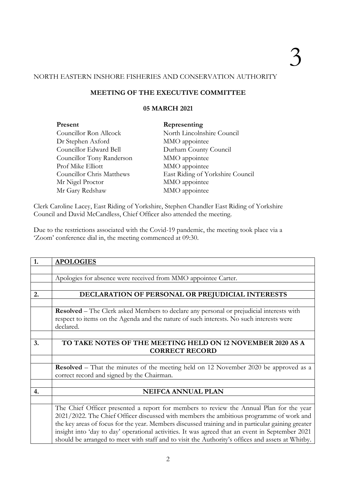#### NORTH EASTERN INSHORE FISHERIES AND CONSERVATION AUTHORITY

#### **MEETING OF THE EXECUTIVE COMMITTEE**

#### **05 MARCH 2021**

| Present                   | Representing                     |
|---------------------------|----------------------------------|
| Councillor Ron Allcock    | North Lincolnshire Council       |
| Dr Stephen Axford         | MMO appointee                    |
| Councillor Edward Bell    | Durham County Council            |
| Councillor Tony Randerson | MMO appointee                    |
| Prof Mike Elliott         | MMO appointee                    |
| Councillor Chris Matthews | East Riding of Yorkshire Council |
| Mr Nigel Proctor          | MMO appointee                    |
| Mr Gary Redshaw           | MMO appointee                    |

Clerk Caroline Lacey, East Riding of Yorkshire, Stephen Chandler East Riding of Yorkshire Council and David McCandless, Chief Officer also attended the meeting.

Due to the restrictions associated with the Covid-19 pandemic, the meeting took place via a 'Zoom' conference dial in, the meeting commenced at 09:30.

| 1. | <b>APOLOGIES</b>                                                                                  |  |  |  |  |  |  |  |
|----|---------------------------------------------------------------------------------------------------|--|--|--|--|--|--|--|
|    |                                                                                                   |  |  |  |  |  |  |  |
|    | Apologies for absence were received from MMO appointee Carter.                                    |  |  |  |  |  |  |  |
|    |                                                                                                   |  |  |  |  |  |  |  |
| 2. | DECLARATION OF PERSONAL OR PREJUDICIAL INTERESTS                                                  |  |  |  |  |  |  |  |
|    |                                                                                                   |  |  |  |  |  |  |  |
|    | <b>Resolved</b> – The Clerk asked Members to declare any personal or prejudicial interests with   |  |  |  |  |  |  |  |
|    | respect to items on the Agenda and the nature of such interests. No such interests were           |  |  |  |  |  |  |  |
|    | declared.                                                                                         |  |  |  |  |  |  |  |
|    |                                                                                                   |  |  |  |  |  |  |  |
| 3. | TO TAKE NOTES OF THE MEETING HELD ON 12 NOVEMBER 2020 AS A                                        |  |  |  |  |  |  |  |
|    | <b>CORRECT RECORD</b>                                                                             |  |  |  |  |  |  |  |
|    |                                                                                                   |  |  |  |  |  |  |  |
|    | Resolved - That the minutes of the meeting held on 12 November 2020 be approved as a              |  |  |  |  |  |  |  |
|    | correct record and signed by the Chairman.                                                        |  |  |  |  |  |  |  |
|    |                                                                                                   |  |  |  |  |  |  |  |
| 4. | <b>NEIFCA ANNUAL PLAN</b>                                                                         |  |  |  |  |  |  |  |
|    |                                                                                                   |  |  |  |  |  |  |  |
|    | The Chief Officer presented a report for members to review the Annual Plan for the year           |  |  |  |  |  |  |  |
|    | 2021/2022. The Chief Officer discussed with members the ambitious programme of work and           |  |  |  |  |  |  |  |
|    | the key areas of focus for the year. Members discussed training and in particular gaining greater |  |  |  |  |  |  |  |
|    | insight into 'day to day' operational activities. It was agreed that an event in September 2021   |  |  |  |  |  |  |  |
|    | should be arranged to meet with staff and to visit the Authority's offices and assets at Whitby.  |  |  |  |  |  |  |  |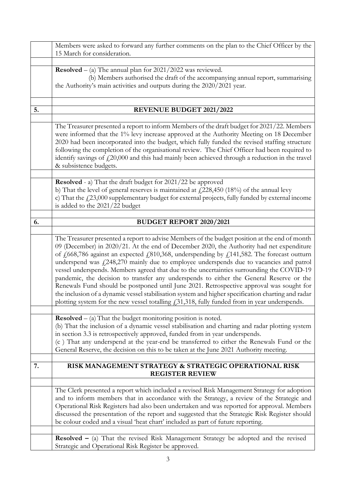|    | Members were asked to forward any further comments on the plan to the Chief Officer by the                                                                                                                                                                                                                                                                                                                                                                                                                                                                                                                                                                                                                                                                                                                                                                                                                                        |
|----|-----------------------------------------------------------------------------------------------------------------------------------------------------------------------------------------------------------------------------------------------------------------------------------------------------------------------------------------------------------------------------------------------------------------------------------------------------------------------------------------------------------------------------------------------------------------------------------------------------------------------------------------------------------------------------------------------------------------------------------------------------------------------------------------------------------------------------------------------------------------------------------------------------------------------------------|
|    | 15 March for consideration.                                                                                                                                                                                                                                                                                                                                                                                                                                                                                                                                                                                                                                                                                                                                                                                                                                                                                                       |
|    |                                                                                                                                                                                                                                                                                                                                                                                                                                                                                                                                                                                                                                                                                                                                                                                                                                                                                                                                   |
|    | <b>Resolved</b> – (a) The annual plan for $2021/2022$ was reviewed.                                                                                                                                                                                                                                                                                                                                                                                                                                                                                                                                                                                                                                                                                                                                                                                                                                                               |
|    | (b) Members authorised the draft of the accompanying annual report, summarising                                                                                                                                                                                                                                                                                                                                                                                                                                                                                                                                                                                                                                                                                                                                                                                                                                                   |
|    | the Authority's main activities and outputs during the 2020/2021 year.                                                                                                                                                                                                                                                                                                                                                                                                                                                                                                                                                                                                                                                                                                                                                                                                                                                            |
|    |                                                                                                                                                                                                                                                                                                                                                                                                                                                                                                                                                                                                                                                                                                                                                                                                                                                                                                                                   |
| 5. | <b>REVENUE BUDGET 2021/2022</b>                                                                                                                                                                                                                                                                                                                                                                                                                                                                                                                                                                                                                                                                                                                                                                                                                                                                                                   |
|    |                                                                                                                                                                                                                                                                                                                                                                                                                                                                                                                                                                                                                                                                                                                                                                                                                                                                                                                                   |
|    | The Treasurer presented a report to inform Members of the draft budget for 2021/22. Members<br>were informed that the 1% levy increase approved at the Authority Meeting on 18 December<br>2020 had been incorporated into the budget, which fully funded the revised staffing structure<br>following the completion of the organisational review. The Chief Officer had been required to<br>identify savings of $\text{\pounds}20,000$ and this had mainly been achieved through a reduction in the travel<br>& subsistence budgets.                                                                                                                                                                                                                                                                                                                                                                                             |
|    | Resolved - a) That the draft budget for 2021/22 be approved                                                                                                                                                                                                                                                                                                                                                                                                                                                                                                                                                                                                                                                                                                                                                                                                                                                                       |
|    | b) That the level of general reserves is maintained at $\text{\textsterling}228,450$ (18%) of the annual levy                                                                                                                                                                                                                                                                                                                                                                                                                                                                                                                                                                                                                                                                                                                                                                                                                     |
|    | c) That the $\text{\textsterling}23,000$ supplementary budget for external projects, fully funded by external income                                                                                                                                                                                                                                                                                                                                                                                                                                                                                                                                                                                                                                                                                                                                                                                                              |
|    | is added to the 2021/22 budget                                                                                                                                                                                                                                                                                                                                                                                                                                                                                                                                                                                                                                                                                                                                                                                                                                                                                                    |
|    |                                                                                                                                                                                                                                                                                                                                                                                                                                                                                                                                                                                                                                                                                                                                                                                                                                                                                                                                   |
| 6. | <b>BUDGET REPORT 2020/2021</b>                                                                                                                                                                                                                                                                                                                                                                                                                                                                                                                                                                                                                                                                                                                                                                                                                                                                                                    |
|    |                                                                                                                                                                                                                                                                                                                                                                                                                                                                                                                                                                                                                                                                                                                                                                                                                                                                                                                                   |
|    | The Treasurer presented a report to advise Members of the budget position at the end of month<br>09 (December) in 2020/21. At the end of December 2020, the Authority had net expenditure<br>of $\frac{1}{2}668,786$ against an expected $\frac{1}{2}810,368$ , underspending by $\frac{1}{2}141,582$ . The forecast outturn<br>underspend was $f(248,270)$ mainly due to employee underspends due to vacancies and patrol<br>vessel underspends. Members agreed that due to the uncertainties surrounding the COVID-19<br>pandemic, the decision to transfer any underspends to either the General Reserve or the<br>Renewals Fund should be postponed until June 2021. Retrospective approval was sought for<br>the inclusion of a dynamic vessel stabilisation system and higher specification charting and radar<br>plotting system for the new vessel totalling $f_{1,31}^{31,318}$ , fully funded from in year underspends. |
|    | <b>Resolved</b> $-$ (a) That the budget monitoring position is noted.                                                                                                                                                                                                                                                                                                                                                                                                                                                                                                                                                                                                                                                                                                                                                                                                                                                             |
|    | (b) That the inclusion of a dynamic vessel stabilisation and charting and radar plotting system                                                                                                                                                                                                                                                                                                                                                                                                                                                                                                                                                                                                                                                                                                                                                                                                                                   |
|    | in section 3.3 is retrospectively approved, funded from in year underspends.                                                                                                                                                                                                                                                                                                                                                                                                                                                                                                                                                                                                                                                                                                                                                                                                                                                      |
|    | (c) That any underspend at the year-end be transferred to either the Renewals Fund or the                                                                                                                                                                                                                                                                                                                                                                                                                                                                                                                                                                                                                                                                                                                                                                                                                                         |
|    | General Reserve, the decision on this to be taken at the June 2021 Authority meeting.                                                                                                                                                                                                                                                                                                                                                                                                                                                                                                                                                                                                                                                                                                                                                                                                                                             |
| 7. | RISK MANAGEMENT STRATEGY & STRATEGIC OPERATIONAL RISK<br><b>REGISTER REVIEW</b>                                                                                                                                                                                                                                                                                                                                                                                                                                                                                                                                                                                                                                                                                                                                                                                                                                                   |
|    |                                                                                                                                                                                                                                                                                                                                                                                                                                                                                                                                                                                                                                                                                                                                                                                                                                                                                                                                   |
|    | The Clerk presented a report which included a revised Risk Management Strategy for adoption                                                                                                                                                                                                                                                                                                                                                                                                                                                                                                                                                                                                                                                                                                                                                                                                                                       |
|    | and to inform members that in accordance with the Strategy, a review of the Strategic and                                                                                                                                                                                                                                                                                                                                                                                                                                                                                                                                                                                                                                                                                                                                                                                                                                         |
|    | Operational Risk Registers had also been undertaken and was reported for approval. Members<br>discussed the presentation of the report and suggested that the Strategic Risk Register should                                                                                                                                                                                                                                                                                                                                                                                                                                                                                                                                                                                                                                                                                                                                      |
|    | be colour coded and a visual 'heat chart' included as part of future reporting.                                                                                                                                                                                                                                                                                                                                                                                                                                                                                                                                                                                                                                                                                                                                                                                                                                                   |
|    |                                                                                                                                                                                                                                                                                                                                                                                                                                                                                                                                                                                                                                                                                                                                                                                                                                                                                                                                   |
|    | <b>Resolved</b> $-$ (a) That the revised Risk Management Strategy be adopted and the revised                                                                                                                                                                                                                                                                                                                                                                                                                                                                                                                                                                                                                                                                                                                                                                                                                                      |
|    | Strategic and Operational Risk Register be approved.                                                                                                                                                                                                                                                                                                                                                                                                                                                                                                                                                                                                                                                                                                                                                                                                                                                                              |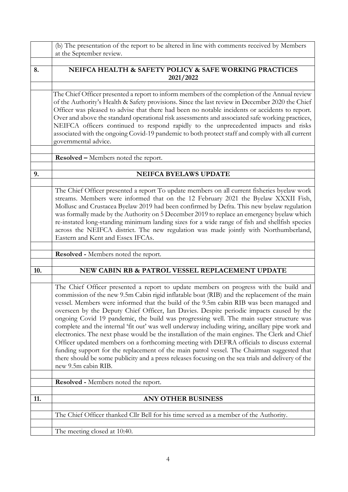|     | (b) The presentation of the report to be altered in line with comments received by Members                                                                                                                                                                                                                                                                                                                                                                                                                                                                                                                                                                                                                                                                                                                                                                                                                                                                                                           |
|-----|------------------------------------------------------------------------------------------------------------------------------------------------------------------------------------------------------------------------------------------------------------------------------------------------------------------------------------------------------------------------------------------------------------------------------------------------------------------------------------------------------------------------------------------------------------------------------------------------------------------------------------------------------------------------------------------------------------------------------------------------------------------------------------------------------------------------------------------------------------------------------------------------------------------------------------------------------------------------------------------------------|
|     | at the September review.                                                                                                                                                                                                                                                                                                                                                                                                                                                                                                                                                                                                                                                                                                                                                                                                                                                                                                                                                                             |
| 8.  | NEIFCA HEALTH & SAFETY POLICY & SAFE WORKING PRACTICES                                                                                                                                                                                                                                                                                                                                                                                                                                                                                                                                                                                                                                                                                                                                                                                                                                                                                                                                               |
|     | 2021/2022                                                                                                                                                                                                                                                                                                                                                                                                                                                                                                                                                                                                                                                                                                                                                                                                                                                                                                                                                                                            |
|     | The Chief Officer presented a report to inform members of the completion of the Annual review<br>of the Authority's Health & Safety provisions. Since the last review in December 2020 the Chief<br>Officer was pleased to advise that there had been no notable incidents or accidents to report.                                                                                                                                                                                                                                                                                                                                                                                                                                                                                                                                                                                                                                                                                                   |
|     | Over and above the standard operational risk assessments and associated safe working practices,<br>NEIFCA officers continued to respond rapidly to the unprecedented impacts and risks<br>associated with the ongoing Covid-19 pandemic to both protect staff and comply with all current<br>governmental advice.                                                                                                                                                                                                                                                                                                                                                                                                                                                                                                                                                                                                                                                                                    |
|     | <b>Resolved - Members noted the report.</b>                                                                                                                                                                                                                                                                                                                                                                                                                                                                                                                                                                                                                                                                                                                                                                                                                                                                                                                                                          |
|     |                                                                                                                                                                                                                                                                                                                                                                                                                                                                                                                                                                                                                                                                                                                                                                                                                                                                                                                                                                                                      |
| 9.  | NEIFCA BYELAWS UPDATE                                                                                                                                                                                                                                                                                                                                                                                                                                                                                                                                                                                                                                                                                                                                                                                                                                                                                                                                                                                |
|     | The Chief Officer presented a report To update members on all current fisheries byelaw work<br>streams. Members were informed that on the 12 February 2021 the Byelaw XXXII Fish,<br>Mollusc and Crustacea Byelaw 2019 had been confirmed by Defra. This new byelaw regulation<br>was formally made by the Authority on 5 December 2019 to replace an emergency byelaw which<br>re-instated long-standing minimum landing sizes for a wide range of fish and shellfish species<br>across the NEIFCA district. The new regulation was made jointly with Northumberland,<br>Eastern and Kent and Essex IFCAs.                                                                                                                                                                                                                                                                                                                                                                                          |
|     | <b>Resolved - Members noted the report.</b>                                                                                                                                                                                                                                                                                                                                                                                                                                                                                                                                                                                                                                                                                                                                                                                                                                                                                                                                                          |
|     |                                                                                                                                                                                                                                                                                                                                                                                                                                                                                                                                                                                                                                                                                                                                                                                                                                                                                                                                                                                                      |
| 10. | NEW CABIN RB & PATROL VESSEL REPLACEMENT UPDATE                                                                                                                                                                                                                                                                                                                                                                                                                                                                                                                                                                                                                                                                                                                                                                                                                                                                                                                                                      |
|     | The Chief Officer presented a report to update members on progress with the build and<br>commission of the new 9.5m Cabin rigid inflatable boat (RIB) and the replacement of the main<br>vessel. Members were informed that the build of the 9.5m cabin RIB was been managed and<br>overseen by the Deputy Chief Officer, Ian Davies. Despite periodic impacts caused by the<br>ongoing Covid 19 pandemic, the build was progressing well. The main super structure was<br>complete and the internal 'fit out' was well underway including wiring, ancillary pipe work and<br>electronics. The next phase would be the installation of the main engines. The Clerk and Chief<br>Officer updated members on a forthcoming meeting with DEFRA officials to discuss external<br>funding support for the replacement of the main patrol vessel. The Chairman suggested that<br>there should be some publicity and a press releases focusing on the sea trials and delivery of the<br>new 9.5m cabin RIB. |
|     | <b>Resolved - Members noted the report.</b>                                                                                                                                                                                                                                                                                                                                                                                                                                                                                                                                                                                                                                                                                                                                                                                                                                                                                                                                                          |
| 11. | <b>ANY OTHER BUSINESS</b>                                                                                                                                                                                                                                                                                                                                                                                                                                                                                                                                                                                                                                                                                                                                                                                                                                                                                                                                                                            |
|     | The Chief Officer thanked Cllr Bell for his time served as a member of the Authority.                                                                                                                                                                                                                                                                                                                                                                                                                                                                                                                                                                                                                                                                                                                                                                                                                                                                                                                |
|     | The meeting closed at 10:40.                                                                                                                                                                                                                                                                                                                                                                                                                                                                                                                                                                                                                                                                                                                                                                                                                                                                                                                                                                         |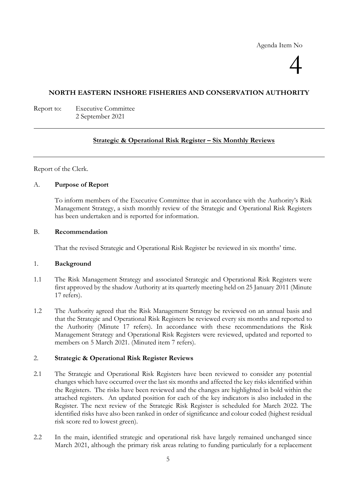Agenda Item No

# 4

#### **NORTH EASTERN INSHORE FISHERIES AND CONSERVATION AUTHORITY**

Report to: Executive Committee 2 September 2021

#### **Strategic & Operational Risk Register – Six Monthly Reviews**

Report of the Clerk.

#### A. **Purpose of Report**

To inform members of the Executive Committee that in accordance with the Authority's Risk Management Strategy, a sixth monthly review of the Strategic and Operational Risk Registers has been undertaken and is reported for information.

#### B. **Recommendation**

That the revised Strategic and Operational Risk Register be reviewed in six months' time.

#### 1. **Background**

- 1.1 The Risk Management Strategy and associated Strategic and Operational Risk Registers were first approved by the shadow Authority at its quarterly meeting held on 25 January 2011 (Minute 17 refers).
- 1.2 The Authority agreed that the Risk Management Strategy be reviewed on an annual basis and that the Strategic and Operational Risk Registers be reviewed every six months and reported to the Authority (Minute 17 refers). In accordance with these recommendations the Risk Management Strategy and Operational Risk Registers were reviewed, updated and reported to members on 5 March 2021. (Minuted item 7 refers).

#### 2. **Strategic & Operational Risk Register Reviews**

- 2.1 The Strategic and Operational Risk Registers have been reviewed to consider any potential changes which have occurred over the last six months and affected the key risks identified within the Registers. The risks have been reviewed and the changes are highlighted in bold within the attached registers. An updated position for each of the key indicators is also included in the Register. The next review of the Strategic Risk Register is scheduled for March 2022. The identified risks have also been ranked in order of significance and colour coded (highest residual risk score red to lowest green).
- 2.2 In the main, identified strategic and operational risk have largely remained unchanged since March 2021, although the primary risk areas relating to funding particularly for a replacement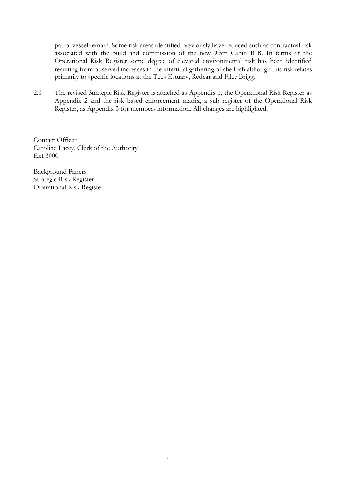patrol vessel remain. Some risk areas identified previously have reduced such as contractual risk associated with the build and commission of the new 9.5m Cabin RIB. In terms of the Operational Risk Register some degree of elevated environmental risk has been identified resulting from observed increases in the intertidal gathering of shellfish although this risk relates primarily to specific locations at the Tees Estuary, Redcar and Filey Brigg.

2.3 The revised Strategic Risk Register is attached as Appendix 1, the Operational Risk Register as Appendix 2 and the risk based enforcement matrix, a sub register of the Operational Risk Register, as Appendix 3 for members information. All changes are highlighted.

Contact Officer Caroline Lacey, Clerk of the Authority Ext 3000

Background Papers Strategic Risk Register Operational Risk Register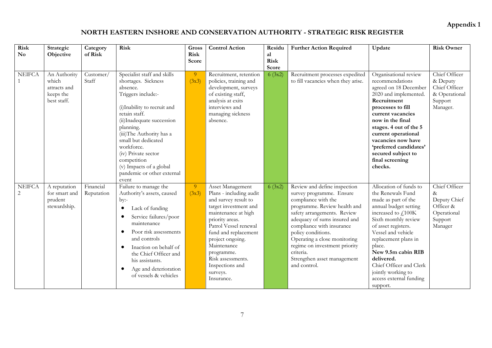**Appendix 1**

# **NORTH EASTERN INSHORE AND CONSERVATION AUTHORITY - STRATEGIC RISK REGISTER**

| <b>Risk</b><br>$\mathbf{N}\mathbf{o}$ | Strategic<br>Objective                                            | Category<br>of Risk     | <b>Risk</b>                                                                                                                                                                                                                                                                                                                                               | Gross<br><b>Risk</b><br>Score | <b>Control Action</b>                                                                                                                                                                                                                                                                                      | Residu<br>al<br><b>Risk</b><br>Score | <b>Further Action Required</b>                                                                                                                                                                                                                                                                                                                                 | Update                                                                                                                                                                                                                                                                                                                                                    | <b>Risk Owner</b>                                                                       |
|---------------------------------------|-------------------------------------------------------------------|-------------------------|-----------------------------------------------------------------------------------------------------------------------------------------------------------------------------------------------------------------------------------------------------------------------------------------------------------------------------------------------------------|-------------------------------|------------------------------------------------------------------------------------------------------------------------------------------------------------------------------------------------------------------------------------------------------------------------------------------------------------|--------------------------------------|----------------------------------------------------------------------------------------------------------------------------------------------------------------------------------------------------------------------------------------------------------------------------------------------------------------------------------------------------------------|-----------------------------------------------------------------------------------------------------------------------------------------------------------------------------------------------------------------------------------------------------------------------------------------------------------------------------------------------------------|-----------------------------------------------------------------------------------------|
| <b>NEIFCA</b>                         | An Authority<br>which<br>attracts and<br>keeps the<br>best staff. | Customer/<br>Staff      | Specialist staff and skills<br>shortages. Sickness<br>absence.<br>Triggers include:-<br>(i) Inability to recruit and<br>retain staff.<br>(ii) Inadequate succession<br>planning.<br>(iii)The Authority has a<br>small but dedicated<br>workforce.<br>(iv) Private sector<br>competition<br>(v) Impacts of a global<br>pandemic or other external<br>event | $\overline{9}$<br>(3x3)       | Recruitment, retention<br>policies, training and<br>development, surveys<br>of existing staff,<br>analysis at exits<br>interviews and<br>managing sickness<br>absence.                                                                                                                                     | 6(3x2)                               | Recruitment processes expedited<br>to fill vacancies when they arise.                                                                                                                                                                                                                                                                                          | Organisational review<br>recommendations<br>agreed on 18 December<br>2020 and implemented.<br>Recruitment<br>processes to fill<br>current vacancies<br>now in the final<br>stages. 4 out of the 5<br>current operational<br>vacancies now have<br>'preferred candidates'<br>secured subject to<br>final screening<br>checks.                              | Chief Officer<br>& Deputy<br>Chief Officer<br>& Operational<br>Support<br>Manager.      |
| <b>NEIFCA</b><br>$\overline{c}$       | A reputation<br>for smart and<br>prudent<br>stewardship.          | Financial<br>Reputation | Failure to manage the<br>Authority's assets, caused<br>by:<br>Lack of funding<br>$\bullet$<br>Service failures/poor<br>maintenance<br>Poor risk assessments<br>$\bullet$<br>and controls<br>Inaction on behalf of<br>$\bullet$<br>the Chief Officer and<br>his assistants.<br>Age and deterioration<br>$\bullet$<br>of vessels & vehicles                 | 9 <sup>°</sup><br>(3x3)       | Asset Management<br>Plans - including audit<br>and survey result to<br>target investment and<br>maintenance at high<br>priority areas.<br>Patrol Vessel renewal<br>fund and replacement<br>project ongoing.<br>Maintenance<br>programme.<br>Risk assessments.<br>Inspections and<br>surveys.<br>Insurance. | 6(3x2)                               | Review and define inspection<br>survey programme. Ensure<br>compliance with the<br>programme. Review health and<br>safety arrangements. Review<br>adequacy of sums insured and<br>compliance with insurance<br>policy conditions.<br>Operating a close monitoring<br>regime on investment priority<br>criteria.<br>Strengthen asset management<br>and control. | Allocation of funds to<br>the Renewals Fund<br>made as part of the<br>annual budget setting<br>increased to $f$ , 100K<br>Sixth monthly review<br>of asset registers.<br>Vessel and vehicle<br>replacement plans in<br>place.<br>New 9.5m cabin RIB<br>delivered.<br>Chief Officer and Clerk<br>jointly working to<br>access external funding<br>support. | Chief Officer<br>$\&$<br>Deputy Chief<br>Officer &<br>Operational<br>Support<br>Manager |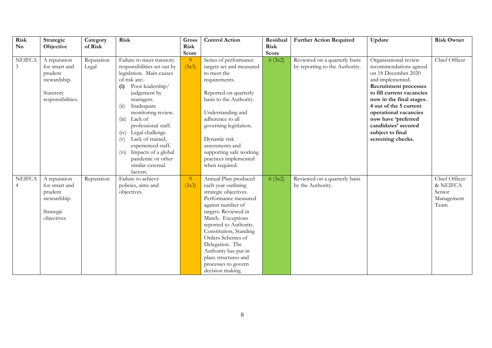| <b>Risk</b>    | Strategic                     | Category            | <b>Risk</b>                                              | Gross          | <b>Control Action</b>                             | Residual    | <b>Further Action Required</b>                                  | Update                                          | <b>Risk Owner</b> |
|----------------|-------------------------------|---------------------|----------------------------------------------------------|----------------|---------------------------------------------------|-------------|-----------------------------------------------------------------|-------------------------------------------------|-------------------|
| N <sub>o</sub> | Objective                     | of Risk             |                                                          | <b>Risk</b>    |                                                   | <b>Risk</b> |                                                                 |                                                 |                   |
| <b>NEIFCA</b>  |                               |                     |                                                          | Score          |                                                   | Score       |                                                                 |                                                 | Chief Officer     |
| 3              | A reputation<br>for smart and | Reputation<br>Legal | Failure to meet statutory<br>responsibilities set out by | -9<br>(3x3)    | Series of performance<br>targets set and measured | 6(3x2)      | Reviewed on a quarterly basis<br>by reporting to the Authority. | Organisational review<br>recommendations agreed |                   |
|                | prudent                       |                     | legislation. Main causes                                 |                | to meet the                                       |             |                                                                 | on 18 December 2020                             |                   |
|                | stewardship.                  |                     | of risk are:-                                            |                | requirements.                                     |             |                                                                 | and implemented.                                |                   |
|                |                               |                     | Poor leadership/<br>(i)                                  |                |                                                   |             |                                                                 | <b>Recruitment processes</b>                    |                   |
|                | Statutory                     |                     | judgement by                                             |                | Reported on quarterly                             |             |                                                                 | to fill current vacancies                       |                   |
|                | responsibilities.             |                     | managers.                                                |                | basis to the Authority.                           |             |                                                                 | now in the final stages.                        |                   |
|                |                               |                     | Inadequate<br>$\overline{u}$                             |                |                                                   |             |                                                                 | 4 out of the 5 current                          |                   |
|                |                               |                     | monitoring review.                                       |                | Understanding and                                 |             |                                                                 | operational vacancies                           |                   |
|                |                               |                     | (iii)<br>Lack of                                         |                | adherence to all                                  |             |                                                                 | now have 'preferred                             |                   |
|                |                               |                     | professional staff.                                      |                | governing legislation.                            |             |                                                                 | candidates' secured                             |                   |
|                |                               |                     | (iv) Legal challenge.                                    |                |                                                   |             |                                                                 | subject to final                                |                   |
|                |                               |                     | Lack of trained,<br>(v)                                  |                | Dynamic risk                                      |             |                                                                 | screening checks.                               |                   |
|                |                               |                     | experienced staff.                                       |                | assessments and                                   |             |                                                                 |                                                 |                   |
|                |                               |                     | (vi) Impacts of a global                                 |                | supporting safe working                           |             |                                                                 |                                                 |                   |
|                |                               |                     | pandemic or other                                        |                | practices implemented                             |             |                                                                 |                                                 |                   |
|                |                               |                     | similar external                                         |                | when required.                                    |             |                                                                 |                                                 |                   |
|                |                               |                     | factors.                                                 |                |                                                   |             |                                                                 |                                                 |                   |
| <b>NEIFCA</b>  | A reputation                  | Reputation          | Failure to achieve                                       | 9 <sup>°</sup> | Annual Plan produced                              | 6(3x2)      | Reviewed on a quarterly basis                                   |                                                 | Chief Officer     |
| $\overline{4}$ | for smart and                 |                     | policies, aims and                                       | (3x3)          | each year outlining                               |             | by the Authority.                                               |                                                 | & NEIFCA          |
|                | prudent                       |                     | objectives.                                              |                | strategic objectives.                             |             |                                                                 |                                                 | Senior            |
|                | stewardship.                  |                     |                                                          |                | Performance measured                              |             |                                                                 |                                                 | Management        |
|                |                               |                     |                                                          |                | against number of                                 |             |                                                                 |                                                 | Team              |
|                | Strategic                     |                     |                                                          |                | targets. Reviewed in                              |             |                                                                 |                                                 |                   |
|                | objectives                    |                     |                                                          |                | March. Exceptions                                 |             |                                                                 |                                                 |                   |
|                |                               |                     |                                                          |                | reported to Authority.                            |             |                                                                 |                                                 |                   |
|                |                               |                     |                                                          |                | Constitution, Standing                            |             |                                                                 |                                                 |                   |
|                |                               |                     |                                                          |                | Orders Schemes of                                 |             |                                                                 |                                                 |                   |
|                |                               |                     |                                                          |                | Delegation. The                                   |             |                                                                 |                                                 |                   |
|                |                               |                     |                                                          |                | Authority has put in<br>place structures and      |             |                                                                 |                                                 |                   |
|                |                               |                     |                                                          |                | processes to govern                               |             |                                                                 |                                                 |                   |
|                |                               |                     |                                                          |                | decision making.                                  |             |                                                                 |                                                 |                   |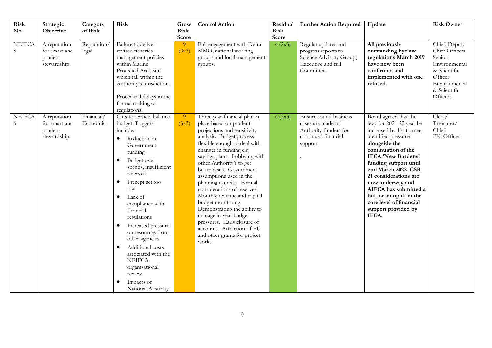| Risk<br>$\mathbf{N}\mathbf{o}$ | Strategic<br>Objective                                   | Category<br>of Risk    | <b>Risk</b>                                                                                                                                                                                                                                                                                                                                                                                                                                                                         | Gross<br>Risk<br>Score  | <b>Control Action</b>                                                                                                                                                                                                                                                                                                                                                                                                                                                                                                                                                            | Residual<br><b>Risk</b><br>Score | <b>Further Action Required</b>                                                                            | Update                                                                                                                                                                                                                                                                                                                                                                          | <b>Risk Owner</b>                                                                                                                    |
|--------------------------------|----------------------------------------------------------|------------------------|-------------------------------------------------------------------------------------------------------------------------------------------------------------------------------------------------------------------------------------------------------------------------------------------------------------------------------------------------------------------------------------------------------------------------------------------------------------------------------------|-------------------------|----------------------------------------------------------------------------------------------------------------------------------------------------------------------------------------------------------------------------------------------------------------------------------------------------------------------------------------------------------------------------------------------------------------------------------------------------------------------------------------------------------------------------------------------------------------------------------|----------------------------------|-----------------------------------------------------------------------------------------------------------|---------------------------------------------------------------------------------------------------------------------------------------------------------------------------------------------------------------------------------------------------------------------------------------------------------------------------------------------------------------------------------|--------------------------------------------------------------------------------------------------------------------------------------|
| <b>NEIFCA</b><br>5             | A reputation<br>for smart and<br>prudent<br>stewardship  | Reputation/<br>legal   | Failure to deliver<br>revised fisheries<br>management policies<br>within Marine<br>Protected Area Sites<br>which fall within the<br>Authority's jurisdiction.<br>Procedural delays in the<br>formal making of<br>regulations.                                                                                                                                                                                                                                                       | $\overline{9}$<br>(3x3) | Full engagement with Defra,<br>MMO, national working<br>groups and local management<br>groups.                                                                                                                                                                                                                                                                                                                                                                                                                                                                                   | 6(2x3)                           | Regular updates and<br>progress reports to<br>Science Advisory Group,<br>Executive and full<br>Committee. | All previously<br>outstanding byelaw<br>regulations March 2019<br>have now been<br>confirmed and<br>implemented with one<br>refused.                                                                                                                                                                                                                                            | Chief, Deputy<br>Chief Officers.<br>Senior<br>Environmental<br>& Scientific<br>Officer<br>Environmental<br>& Scientific<br>Officers. |
| <b>NEIFCA</b><br>6             | A reputation<br>for smart and<br>prudent<br>stewardship. | Financial/<br>Economic | Cuts to service, balance<br>budget. Triggers<br>include:-<br>Reduction in<br>$\bullet$<br>Government<br>funding<br>Budget over<br>٠<br>spends, insufficient<br>reserves.<br>Precept set too<br>٠<br>low.<br>Lack of<br>$\bullet$<br>compliance with<br>financial<br>regulations<br>Increased pressure<br>٠<br>on resources from<br>other agencies<br>Additional costs<br>٠<br>associated with the<br><b>NEIFCA</b><br>organisational<br>review.<br>Impacts of<br>National Austerity | 9 <sup>°</sup><br>(3x3) | Three year financial plan in<br>place based on prudent<br>projections and sensitivity<br>analysis. Budget process<br>flexible enough to deal with<br>changes in funding e.g.<br>savings plans. Lobbying with<br>other Authority's to get<br>better deals. Government<br>assumptions used in the<br>planning exercise. Formal<br>considerations of reserves.<br>Monthly revenue and capital<br>budget monitoring.<br>Demonstrating the ability to<br>manage in-year budget<br>pressures. Early closure of<br>accounts. Attraction of EU<br>and other grants for project<br>works. | 6(2x3)                           | Ensure sound business<br>cases are made to<br>Authority funders for<br>continued financial<br>support.    | Board agreed that the<br>levy for 2021-22 year be<br>increased by 1% to meet<br>identified pressures<br>alongside the<br>continuation of the<br>IFCA 'New Burdens'<br>funding support until<br>end March 2022. CSR<br>21 considerations are<br>now underway and<br>AIFCA has submitted a<br>bid for an uplift in the<br>core level of financial<br>support provided by<br>IFCA. | Clerk/<br>Treasurer/<br>Chief<br>IFC Officer                                                                                         |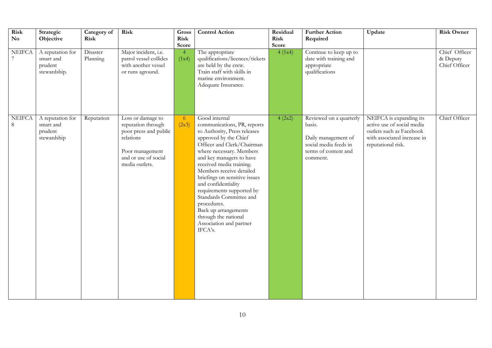| <b>Risk</b><br>$\mathbf{N}\mathbf{o}$ | Strategic<br>Objective                                   | Category of<br>Risk  | Risk                                                                                                                                       | Gross<br><b>Risk</b><br>Score | <b>Control Action</b>                                                                                                                                                                                                                                                                                                                                                                                                                                                    | Residual<br>Risk<br>Score | <b>Further Action</b><br>Required                                                                                     | Update                                                                                                                                 | <b>Risk Owner</b>                          |
|---------------------------------------|----------------------------------------------------------|----------------------|--------------------------------------------------------------------------------------------------------------------------------------------|-------------------------------|--------------------------------------------------------------------------------------------------------------------------------------------------------------------------------------------------------------------------------------------------------------------------------------------------------------------------------------------------------------------------------------------------------------------------------------------------------------------------|---------------------------|-----------------------------------------------------------------------------------------------------------------------|----------------------------------------------------------------------------------------------------------------------------------------|--------------------------------------------|
| <b>NEIFCA</b>                         | A reputation for<br>smart and<br>prudent<br>stewardship. | Disaster<br>Planning | Major incident, i.e.<br>patrol vessel collides<br>with another vessel<br>or runs aground.                                                  | $\overline{4}$<br>(1x4)       | The appropriate<br>qualifications/licences/tickets<br>are held by the crew.<br>Train staff with skills in<br>marine environment.<br>Adequate Insurance.                                                                                                                                                                                                                                                                                                                  | 4(1x4)                    | Continue to keep up to<br>date with training and<br>appropriate<br>qualifications                                     |                                                                                                                                        | Chief Officer<br>& Deputy<br>Chief Officer |
| <b>NEIFCA</b><br>8                    | A reputation for<br>smart and<br>prudent<br>stewardship  | Reputation           | Loss or damage to<br>reputation through<br>poor press and public<br>relations<br>Poor management<br>and or use of social<br>media outlets. | 6<br>(2x3)                    | Good internal<br>communications, PR, reports<br>to Authority, Press releases<br>approved by the Chief<br>Officer and Clerk/Chairman<br>where necessary. Members<br>and key managers to have<br>received media training.<br>Members receive detailed<br>briefings on sensitive issues<br>and confidentiality<br>requirements supported by<br>Standards Committee and<br>procedures.<br>Back up arrangements<br>through the national<br>Association and partner<br>IFCA's. | 4 (2x2)                   | Reviewed on a quarterly<br>basis.<br>Daily management of<br>social media feeds in<br>terms of content and<br>comment. | NEIFCA is expanding its<br>active use of social media<br>outlets such as Facebook<br>with associated increase in<br>reputational risk. | Chief Officer                              |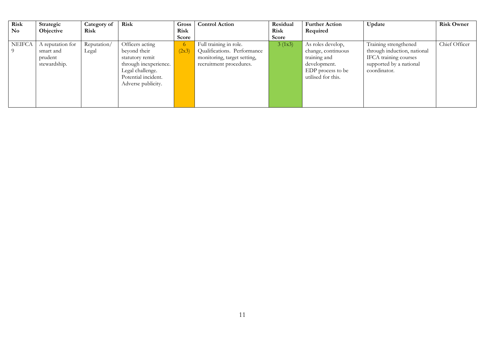| Risk          | Strategic                     | Category of          | Risk                                                                                                      | Gross                   | <b>Control Action</b>                                  | Residual    | <b>Further Action</b>                                                   | Update                                                           | <b>Risk Owner</b> |
|---------------|-------------------------------|----------------------|-----------------------------------------------------------------------------------------------------------|-------------------------|--------------------------------------------------------|-------------|-------------------------------------------------------------------------|------------------------------------------------------------------|-------------------|
| <b>No</b>     | Objective                     | <b>Risk</b>          |                                                                                                           | <b>Risk</b>             |                                                        | <b>Risk</b> | Required                                                                |                                                                  |                   |
|               |                               |                      |                                                                                                           | Score                   |                                                        | Score       |                                                                         |                                                                  |                   |
| <b>NEIFCA</b> | A reputation for<br>smart and | Reputation/<br>Legal | Officers acting<br>beyond their                                                                           | 6 <sup>1</sup><br>(2x3) | Full training in role.<br>Qualifications. Performance  | 3 (1x3)     | As roles develop,<br>change, continuous                                 | Training strengthened<br>through induction, national             | Chief Officer     |
|               | prudent<br>stewardship.       |                      | statutory remit<br>through inexperience.<br>Legal challenge.<br>Potential incident.<br>Adverse publicity. |                         | monitoring, target setting,<br>recruitment procedures. |             | training and<br>development.<br>EDP process to be<br>utilised for this. | IFCA training courses<br>supported by a national<br>coordinator. |                   |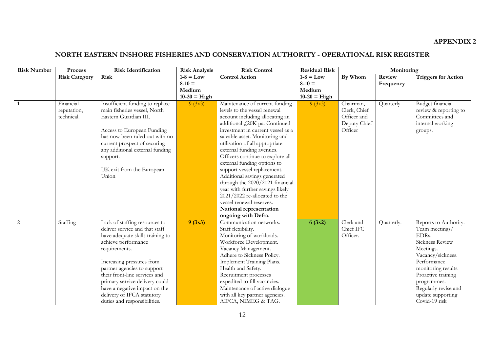#### **APPENDIX 2**

# **NORTH EASTERN INSHORE FISHERIES AND CONSERVATION AUTHORITY - OPERATIONAL RISK REGISTER**

| <b>Risk Number</b> | Process              | <b>Risk Identification</b>                                                                  | <b>Risk Analysis</b> | <b>Risk Control</b>                                   | <b>Residual Risk</b> |              | Monitoring |                                                            |  |
|--------------------|----------------------|---------------------------------------------------------------------------------------------|----------------------|-------------------------------------------------------|----------------------|--------------|------------|------------------------------------------------------------|--|
|                    | <b>Risk Category</b> | <b>Risk</b>                                                                                 | $1-8 = Low$          | <b>Control Action</b>                                 | $1-8 = Low$          | By Whom      | Review     | <b>Triggers for Action</b>                                 |  |
|                    |                      |                                                                                             | $8-10 =$             |                                                       | $8-10 =$             |              | Frequency  |                                                            |  |
|                    |                      |                                                                                             | Medium               |                                                       | Medium               |              |            |                                                            |  |
|                    |                      |                                                                                             | $10-20 = High$       |                                                       | $10-20$ = High       |              |            |                                                            |  |
|                    | Financial            | Insufficient funding to replace                                                             | 9(3x3)               | Maintenance of current funding                        | 9(3x3)               | Chairman,    | Quarterly  | Budget financial                                           |  |
|                    | reputation,          | main fisheries vessel, North                                                                |                      | levels to the vessel renewal                          |                      | Clerk, Chief |            | review & reporting to                                      |  |
|                    | technical.           | Eastern Guardian III.                                                                       |                      | account including allocating an                       |                      | Officer and  |            | Committees and                                             |  |
|                    |                      |                                                                                             |                      | additional £20K pa. Continued                         |                      | Deputy Chief |            | internal working                                           |  |
|                    |                      | Access to European Funding                                                                  |                      | investment in current vessel as a                     |                      | Officer      |            | groups.                                                    |  |
|                    |                      | has now been ruled out with no                                                              |                      | saleable asset. Monitoring and                        |                      |              |            |                                                            |  |
|                    |                      | current prospect of securing                                                                |                      | utilisation of all appropriate                        |                      |              |            |                                                            |  |
|                    |                      | any additional external funding                                                             |                      | external funding avenues.                             |                      |              |            |                                                            |  |
|                    |                      | support.                                                                                    |                      | Officers continue to explore all                      |                      |              |            |                                                            |  |
|                    |                      |                                                                                             |                      | external funding options to                           |                      |              |            |                                                            |  |
|                    |                      | UK exit from the European                                                                   |                      | support vessel replacement.                           |                      |              |            |                                                            |  |
|                    |                      | Union                                                                                       |                      | Additional savings generated                          |                      |              |            |                                                            |  |
|                    |                      |                                                                                             |                      | through the 2020/2021 financial                       |                      |              |            |                                                            |  |
|                    |                      |                                                                                             |                      | year with further savings likely                      |                      |              |            |                                                            |  |
|                    |                      |                                                                                             |                      | 2021/2022 re-allocated to the                         |                      |              |            |                                                            |  |
|                    |                      |                                                                                             |                      | vessel renewal reserves.                              |                      |              |            |                                                            |  |
|                    |                      |                                                                                             |                      | National representation                               |                      |              |            |                                                            |  |
|                    |                      |                                                                                             |                      | ongoing with Defra.                                   |                      |              |            |                                                            |  |
| 2                  | Staffing             | Lack of staffing resources to                                                               | 9(3x3)               | Communication networks.                               | 6(3x2)               | Clerk and    | Quarterly. | Reports to Authority.                                      |  |
|                    |                      | deliver service and that staff                                                              |                      | Staff flexibility.                                    |                      | Chief IFC    |            | Team meetings/<br>EDRs.                                    |  |
|                    |                      | have adequate skills training to                                                            |                      | Monitoring of workloads.                              |                      | Officer.     |            | Sickness Review                                            |  |
|                    |                      | achieve performance                                                                         |                      | Workforce Development.<br>Vacancy Management.         |                      |              |            | Meetings.                                                  |  |
|                    |                      | requirements.                                                                               |                      | Adhere to Sickness Policy.                            |                      |              |            | Vacancy/sickness.                                          |  |
|                    |                      | Increasing pressures from                                                                   |                      | Implement Training Plans.                             |                      |              |            | Performance                                                |  |
|                    |                      | partner agencies to support                                                                 |                      | Health and Safety.                                    |                      |              |            |                                                            |  |
|                    |                      | their front-line services and                                                               |                      | Recruitment processes                                 |                      |              |            | monitoring results.<br>Proactive training                  |  |
|                    |                      | primary service delivery could                                                              |                      | expedited to fill vacancies.                          |                      |              |            | programmes.                                                |  |
|                    |                      |                                                                                             |                      | Maintenance of active dialogue                        |                      |              |            |                                                            |  |
|                    |                      |                                                                                             |                      |                                                       |                      |              |            |                                                            |  |
|                    |                      |                                                                                             |                      |                                                       |                      |              |            |                                                            |  |
|                    |                      | have a negative impact on the<br>delivery of IFCA statutory<br>duties and responsibilities. |                      | with all key partner agencies.<br>AIFCA, NIMEG & TAG. |                      |              |            | Regularly revise and<br>update supporting<br>Covid-19 risk |  |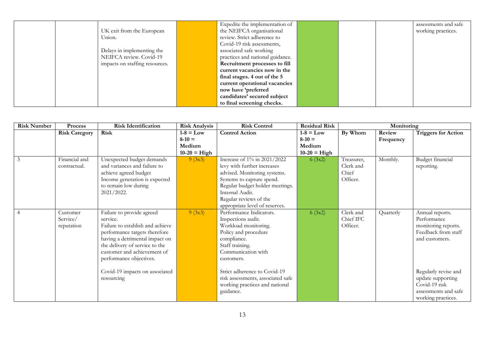|        |                                | Expedite the implementation of   |  | assessments and safe |
|--------|--------------------------------|----------------------------------|--|----------------------|
|        | UK exit from the European      | the NEIFCA organisational        |  | working practices.   |
| Union. |                                | review. Strict adherence to      |  |                      |
|        |                                | Covid-19 risk assessments,       |  |                      |
|        | Delays in implementing the     | associated safe working          |  |                      |
|        | NEIFCA review. Covid-19        | practices and national guidance. |  |                      |
|        | impacts on staffing resources. | Recruitment processes to fill    |  |                      |
|        |                                | current vacancies now in the     |  |                      |
|        |                                | final stages. 4 out of the 5     |  |                      |
|        |                                | current operational vacancies    |  |                      |
|        |                                | now have 'preferred              |  |                      |
|        |                                | candidates' secured subject      |  |                      |
|        |                                | to final screening checks.       |  |                      |

| <b>Risk Number</b> | Process                            | <b>Risk Identification</b>                                                                                                                                                                                                                                                               | <b>Risk Analysis</b>                                | <b>Risk Control</b>                                                                                                                                                                                                                                                                     | <b>Residual Risk</b>                                |                                              | Monitoring          |                                                                                                                                                                                                            |  |
|--------------------|------------------------------------|------------------------------------------------------------------------------------------------------------------------------------------------------------------------------------------------------------------------------------------------------------------------------------------|-----------------------------------------------------|-----------------------------------------------------------------------------------------------------------------------------------------------------------------------------------------------------------------------------------------------------------------------------------------|-----------------------------------------------------|----------------------------------------------|---------------------|------------------------------------------------------------------------------------------------------------------------------------------------------------------------------------------------------------|--|
|                    | <b>Risk Category</b>               | Risk                                                                                                                                                                                                                                                                                     | $1-8 = Low$<br>$8-10 =$<br>Medium<br>$10-20$ = High | <b>Control Action</b>                                                                                                                                                                                                                                                                   | $1-8 = Low$<br>$8-10 =$<br>Medium<br>$10-20$ = High | By Whom                                      | Review<br>Frequency | <b>Triggers for Action</b>                                                                                                                                                                                 |  |
| 3                  | Financial and<br>contractual.      | Unexpected budget demands<br>and variances and failure to<br>achieve agreed budget<br>Income generation is expected<br>to remain low during<br>2021/2022.                                                                                                                                | 9(3x3)                                              | Increase of 1% in 2021/2022<br>levy with further increases<br>advised. Monitoring systems.<br>Systems to capture spend.<br>Regular budget holder meetings.<br>Internal Audit.<br>Regular reviews of the<br>appropriate level of reserves.                                               | 6(3x2)                                              | Treasurer,<br>Clerk and<br>Chief<br>Officer. | Monthly.            | Budget financial<br>reporting.                                                                                                                                                                             |  |
|                    | Customer<br>Service/<br>reputation | Failure to provide agreed<br>service.<br>Failure to establish and achieve<br>performance targets therefore<br>having a detrimental impact on<br>the delivery of service to the<br>customer and achievement of<br>performance objectives.<br>Covid-19 impacts on associated<br>resourcing | 9(3x3)                                              | Performance Indicators.<br>Inspections audit.<br>Workload monitoring.<br>Policy and procedure<br>compliance.<br>Staff training.<br>Communication with<br>customers.<br>Strict adherence to Covid-19<br>risk assessments, associated safe<br>working practices and national<br>guidance. | 6(3x2)                                              | Clerk and<br>Chief IFC<br>Officer.           | Quarterly           | Annual reports.<br>Performance<br>monitoring reports.<br>Feedback from staff<br>and customers.<br>Regularly revise and<br>update supporting<br>Covid-19 risk<br>assessments and safe<br>working practices. |  |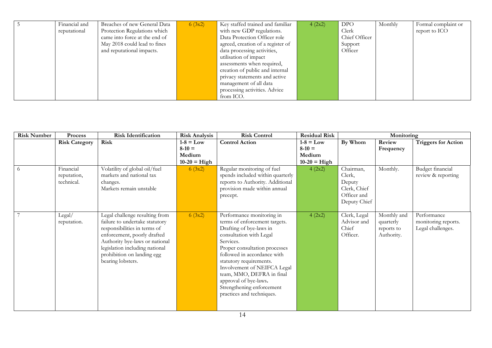| Financial and | Breaches of new General Data  | 6(3x2) | Key staffed trained and familiar  | 4 (2x2) | <b>DPO</b>    | Monthly | Formal complaint or |
|---------------|-------------------------------|--------|-----------------------------------|---------|---------------|---------|---------------------|
| reputational  | Protection Regulations which  |        | with new GDP regulations.         |         | Clerk         |         | report to ICO       |
|               | came into force at the end of |        | Data Protection Officer role      |         | Chief Officer |         |                     |
|               | May 2018 could lead to fines  |        | agreed, creation of a register of |         | Support       |         |                     |
|               | and reputational impacts.     |        | data processing activities,       |         | Officer       |         |                     |
|               |                               |        | utilisation of impact             |         |               |         |                     |
|               |                               |        | assessments when required,        |         |               |         |                     |
|               |                               |        | creation of public and internal   |         |               |         |                     |
|               |                               |        | privacy statements and active     |         |               |         |                     |
|               |                               |        | management of all data            |         |               |         |                     |
|               |                               |        | processing activities. Advice     |         |               |         |                     |
|               |                               |        | from ICO.                         |         |               |         |                     |

| <b>Risk Number</b> | <b>Process</b>                         | <b>Risk Identification</b>                                                                                                                                                                                                                             | <b>Risk Analysis</b>                                | <b>Risk Control</b>                                                                                                                                                                                                                                                                                                                                                     | <b>Residual Risk</b>                                | Monitoring                                                                   |                                                      |                                                         |
|--------------------|----------------------------------------|--------------------------------------------------------------------------------------------------------------------------------------------------------------------------------------------------------------------------------------------------------|-----------------------------------------------------|-------------------------------------------------------------------------------------------------------------------------------------------------------------------------------------------------------------------------------------------------------------------------------------------------------------------------------------------------------------------------|-----------------------------------------------------|------------------------------------------------------------------------------|------------------------------------------------------|---------------------------------------------------------|
|                    | <b>Risk Category</b>                   | Risk                                                                                                                                                                                                                                                   | $1-8 = Low$<br>$8-10 =$<br>Medium<br>$10-20$ = High | <b>Control Action</b>                                                                                                                                                                                                                                                                                                                                                   | $1-8 = Low$<br>$8-10 =$<br>Medium<br>$10-20$ = High | By Whom                                                                      | Review<br>Frequency                                  | <b>Triggers for Action</b>                              |
| $-6$               | Financial<br>reputation,<br>technical. | Volatility of global oil/fuel<br>markets and national tax<br>changes.<br>Markets remain unstable                                                                                                                                                       | 6(3x2)                                              | Regular monitoring of fuel<br>spends included within quarterly<br>reports to Authority. Additional<br>provision made within annual<br>precept.                                                                                                                                                                                                                          | 4 (2x2)                                             | Chairman,<br>Clerk,<br>Deputy<br>Clerk, Chief<br>Officer and<br>Deputy Chief | Monthly.                                             | Budget financial<br>review & reporting                  |
| 7                  | Legal/<br>reputation.                  | Legal challenge resulting from<br>failure to undertake statutory<br>responsibilities in terms of<br>enforcement, poorly drafted<br>Authority bye-laws or national<br>legislation including national<br>prohibition on landing egg<br>bearing lobsters. | 6(3x2)                                              | Performance monitoring in<br>terms of enforcement targets.<br>Drafting of bye-laws in<br>consultation with Legal<br>Services.<br>Proper consultation processes<br>followed in accordance with<br>statutory requirements.<br>Involvement of NEIFCA Legal<br>team, MMO, DEFRA in final<br>approval of bye-laws.<br>Strengthening enforcement<br>practices and techniques. | 4 (2x2)                                             | Clerk, Legal<br>Advisor and<br>Chief<br>Officer.                             | Monthly and<br>quarterly<br>reports to<br>Authority. | Performance<br>monitoring reports.<br>Legal challenges. |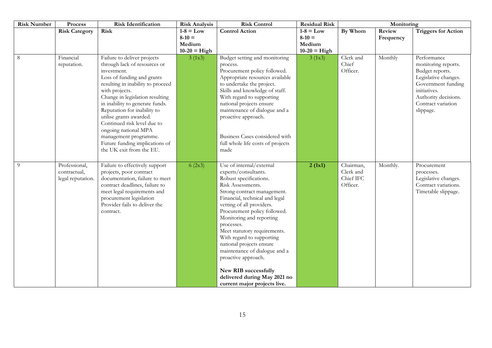| <b>Risk Number</b> | Process                                            | <b>Risk Identification</b>                                                                                                                                                                                                                                                                                                                                                                                                                    | <b>Risk Analysis</b>                                | <b>Risk Control</b>                                                                                                                                                                                                                                                                                                                                                                                                                                                                                              | <b>Residual Risk</b>                                | Monitoring                                      |                     |                                                                                                                                                                                |
|--------------------|----------------------------------------------------|-----------------------------------------------------------------------------------------------------------------------------------------------------------------------------------------------------------------------------------------------------------------------------------------------------------------------------------------------------------------------------------------------------------------------------------------------|-----------------------------------------------------|------------------------------------------------------------------------------------------------------------------------------------------------------------------------------------------------------------------------------------------------------------------------------------------------------------------------------------------------------------------------------------------------------------------------------------------------------------------------------------------------------------------|-----------------------------------------------------|-------------------------------------------------|---------------------|--------------------------------------------------------------------------------------------------------------------------------------------------------------------------------|
|                    | <b>Risk Category</b>                               | Risk                                                                                                                                                                                                                                                                                                                                                                                                                                          | $1-8 = Low$<br>$8-10 =$<br>Medium<br>$10-20$ = High | <b>Control Action</b>                                                                                                                                                                                                                                                                                                                                                                                                                                                                                            | $1-8 = Low$<br>$8-10 =$<br>Medium<br>$10-20$ = High | By Whom                                         | Review<br>Frequency | <b>Triggers for Action</b>                                                                                                                                                     |
| $\overline{8}$     | Financial<br>reputation.                           | Failure to deliver projects<br>through lack of resources or<br>investment.<br>Loss of funding and grants<br>resulting in inability to proceed<br>with projects.<br>Change in legislation resulting<br>in inability to generate funds.<br>Reputation for inability to<br>utilise grants awarded.<br>Continued risk level due to<br>ongoing national MPA<br>management programme.<br>Future funding implications of<br>the UK exit from the EU. | 3 (1x3)                                             | Budget setting and monitoring<br>process.<br>Procurement policy followed.<br>Appropriate resources available<br>to undertake the project.<br>Skills and knowledge of staff.<br>With regard to supporting<br>national projects ensure<br>maintenance of dialogue and a<br>proactive approach.<br>Business Cases considered with<br>full whole life costs of projects<br>made                                                                                                                                      | 3 (1x3)                                             | Clerk and<br>Chief<br>Officer.                  | Monthly             | Performance<br>monitoring reports.<br>Budget reports.<br>Legislative changes.<br>Government funding<br>initiatives.<br>Authority decisions.<br>Contract variation<br>slippage. |
| 9                  | Professional,<br>contractual,<br>legal reputation. | Failure to effectively support<br>projects, poor contract<br>documentation, failure to meet<br>contract deadlines, failure to<br>meet legal requirements and<br>procurement legislation<br>Provider fails to deliver the<br>contract.                                                                                                                                                                                                         | 6(2x3)                                              | Use of internal/external<br>experts/consultants.<br>Robust specifications.<br>Risk Assessments.<br>Strong contract management.<br>Financial, technical and legal<br>vetting of all providers.<br>Procurement policy followed.<br>Monitoring and reporting<br>processes.<br>Meet statutory requirements.<br>With regard to supporting<br>national projects ensure<br>maintenance of dialogue and a<br>proactive approach.<br>New RIB successfully<br>delivered during May 2021 no<br>current major projects live. | 2(1x1)                                              | Chairman,<br>Clerk and<br>Chief IFC<br>Officer. | Monthly.            | Procurement<br>processes.<br>Legislative changes.<br>Contract variations.<br>Timetable slippage.                                                                               |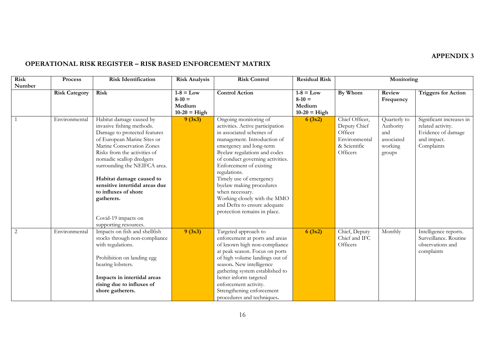#### **APPENDIX 3**

# **OPERATIONAL RISK REGISTER – RISK BASED ENFORCEMENT MATRIX**

| <b>Risk</b> | <b>Process</b>       | <b>Risk Identification</b>     | <b>Risk Analysis</b>    | <b>Risk Control</b>              | <b>Residual Risk</b>    | Monitoring      |                     |                            |
|-------------|----------------------|--------------------------------|-------------------------|----------------------------------|-------------------------|-----------------|---------------------|----------------------------|
| Number      |                      |                                |                         |                                  |                         |                 |                     |                            |
|             | <b>Risk Category</b> | Risk                           | $1-8 = Low$<br>$8-10 =$ | <b>Control Action</b>            | $1-8 = Low$<br>$8-10 =$ | By Whom         | Review<br>Frequency | <b>Triggers</b> for Action |
|             |                      |                                | Medium                  |                                  | Medium                  |                 |                     |                            |
|             |                      |                                | $10-20$ = High          |                                  | $10-20$ = High          |                 |                     |                            |
|             | Environmental        | Habitat damage caused by       | 9(3x3)                  | Ongoing monitoring of            | 6(3x2)                  | Chief Officer,  | Quarterly to        | Significant increases in   |
|             |                      | invasive fishing methods.      |                         | activities. Active participation |                         | Deputy Chief    | Authority           | related activity.          |
|             |                      | Damage to protected features   |                         | in associated schemes of         |                         | Officer         | and                 | Evidence of damage         |
|             |                      | of European Marine Sites or    |                         | management. Introduction of      |                         | Environmental   | associated          | and impact.                |
|             |                      | Marine Conservation Zones      |                         | emergency and long-term          |                         | & Scientific    | working             | Complaints                 |
|             |                      | Risks from the activities of   |                         | Byelaw regulations and codes     |                         | <b>Officers</b> | groups              |                            |
|             |                      | nomadic scallop dredgers       |                         | of conduct governing activities. |                         |                 |                     |                            |
|             |                      | surrounding the NEIFCA area.   |                         | Enforcement of existing          |                         |                 |                     |                            |
|             |                      |                                |                         | regulations.                     |                         |                 |                     |                            |
|             |                      | Habitat damage caused to       |                         | Timely use of emergency          |                         |                 |                     |                            |
|             |                      | sensitive intertidal areas due |                         | byelaw making procedures         |                         |                 |                     |                            |
|             |                      | to influxes of shore           |                         | when necessary.                  |                         |                 |                     |                            |
|             |                      | gatherers.                     |                         | Working closely with the MMO     |                         |                 |                     |                            |
|             |                      |                                |                         | and Defra to ensure adequate     |                         |                 |                     |                            |
|             |                      |                                |                         | protection remains in place.     |                         |                 |                     |                            |
|             |                      | Covid-19 impacts on            |                         |                                  |                         |                 |                     |                            |
|             |                      | supporting resources.          |                         |                                  |                         |                 |                     |                            |
| 2           | Environmental        | Impacts on fish and shellfish  | 9(3x3)                  | Targeted approach to             | 6(3x2)                  | Chief, Deputy   | Monthly             | Intelligence reports.      |
|             |                      | stocks through non-compliance  |                         | enforcement at ports and areas   |                         | Chief and IFC   |                     | Surveillance. Routine      |
|             |                      | with regulations.              |                         | of known high non-compliance     |                         | <b>Officers</b> |                     | observations and           |
|             |                      |                                |                         | at peak season. Focus on ports   |                         |                 |                     | complaints                 |
|             |                      | Prohibition on landing egg     |                         | of high volume landings out of   |                         |                 |                     |                            |
|             |                      | bearing lobsters.              |                         | season. New intelligence         |                         |                 |                     |                            |
|             |                      |                                |                         | gathering system established to  |                         |                 |                     |                            |
|             |                      | Impacts in intertidal areas    |                         | better inform targeted           |                         |                 |                     |                            |
|             |                      | rising due to influxes of      |                         | enforcement activity.            |                         |                 |                     |                            |
|             |                      | shore gatherers.               |                         | Strengthening enforcement        |                         |                 |                     |                            |
|             |                      |                                |                         | procedures and techniques.       |                         |                 |                     |                            |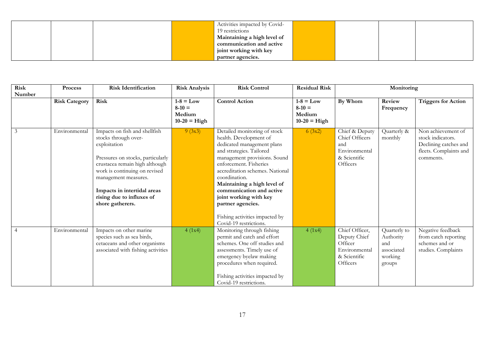|  |  | Activities impacted by Covid- |  |  |
|--|--|-------------------------------|--|--|
|  |  | 19 restrictions               |  |  |
|  |  | Maintaining a high level of   |  |  |
|  |  | communication and active      |  |  |
|  |  | joint working with key        |  |  |
|  |  | partner agencies.             |  |  |

| Risk   | Process              | <b>Risk Identification</b>                                                                                                                                                                                                                                                            | <b>Risk Analysis</b>                                | <b>Risk Control</b>                                                                                                                                                                                                                                                                                                                                                                                  | <b>Residual Risk</b>                                | Monitoring                                                                             |                                                                     |                                                                                                         |
|--------|----------------------|---------------------------------------------------------------------------------------------------------------------------------------------------------------------------------------------------------------------------------------------------------------------------------------|-----------------------------------------------------|------------------------------------------------------------------------------------------------------------------------------------------------------------------------------------------------------------------------------------------------------------------------------------------------------------------------------------------------------------------------------------------------------|-----------------------------------------------------|----------------------------------------------------------------------------------------|---------------------------------------------------------------------|---------------------------------------------------------------------------------------------------------|
| Number |                      |                                                                                                                                                                                                                                                                                       |                                                     |                                                                                                                                                                                                                                                                                                                                                                                                      |                                                     |                                                                                        |                                                                     |                                                                                                         |
|        | <b>Risk Category</b> | Risk                                                                                                                                                                                                                                                                                  | $1-8 = Low$<br>$8-10 =$<br>Medium<br>$10-20$ = High | <b>Control Action</b>                                                                                                                                                                                                                                                                                                                                                                                | $1-8 = Low$<br>$8-10 =$<br>Medium<br>$10-20$ = High | By Whom                                                                                | Review<br>Frequency                                                 | <b>Triggers for Action</b>                                                                              |
| 3      | Environmental        | Impacts on fish and shellfish<br>stocks through over-<br>exploitation<br>Pressures on stocks, particularly<br>crustacea remain high although<br>work is continuing on revised<br>management measures.<br>Impacts in intertidal areas<br>rising due to influxes of<br>shore gatherers. | 9(3x3)                                              | Detailed monitoring of stock<br>health. Development of<br>dedicated management plans<br>and strategies. Tailored<br>management provisions. Sound<br>enforcement. Fisheries<br>accreditation schemes. National<br>coordination.<br>Maintaining a high level of<br>communication and active<br>joint working with key<br>partner agencies.<br>Fishing activities impacted by<br>Covid-19 restrictions. | 6(3x2)                                              | Chief & Deputy<br>Chief Officers<br>and<br>Environmental<br>& Scientific<br>Officers   | Quarterly &<br>monthly                                              | Non achievement of<br>stock indicators.<br>Declining catches and<br>fleets. Complaints and<br>comments. |
| 4      | Environmental        | Impacts on other marine<br>species such as sea birds,<br>cetaceans and other organisms<br>associated with fishing activities                                                                                                                                                          | 4(1x4)                                              | Monitoring through fishing<br>permit and catch and effort<br>schemes. One off studies and<br>assessments. Timely use of<br>emergency byelaw making<br>procedures when required.<br>Fishing activities impacted by<br>Covid-19 restrictions.                                                                                                                                                          | 4(1x4)                                              | Chief Officer,<br>Deputy Chief<br>Officer<br>Environmental<br>& Scientific<br>Officers | Quarterly to<br>Authority<br>and<br>associated<br>working<br>groups | Negative feedback<br>from catch reporting<br>schemes and or<br>studies. Complaints                      |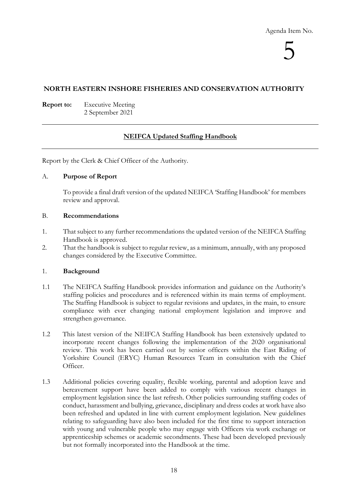5

#### **NORTH EASTERN INSHORE FISHERIES AND CONSERVATION AUTHORITY**

**Report to:** Executive Meeting 2 September 2021

#### **NEIFCA Updated Staffing Handbook**

Report by the Clerk & Chief Officer of the Authority.

#### A. **Purpose of Report**

To provide a final draft version of the updated NEIFCA 'Staffing Handbook' for members review and approval.

#### B. **Recommendations**

- 1. That subject to any further recommendations the updated version of the NEIFCA Staffing Handbook is approved.
- 2. That the handbook is subject to regular review, as a minimum, annually, with any proposed changes considered by the Executive Committee.

#### 1. **Background**

- 1.1 The NEIFCA Staffing Handbook provides information and guidance on the Authority's staffing policies and procedures and is referenced within its main terms of employment. The Staffing Handbook is subject to regular revisions and updates, in the main, to ensure compliance with ever changing national employment legislation and improve and strengthen governance.
- 1.2 This latest version of the NEIFCA Staffing Handbook has been extensively updated to incorporate recent changes following the implementation of the 2020 organisational review. This work has been carried out by senior officers within the East Riding of Yorkshire Council (ERYC) Human Resources Team in consultation with the Chief Officer.
- 1.3 Additional policies covering equality, flexible working, parental and adoption leave and bereavement support have been added to comply with various recent changes in employment legislation since the last refresh. Other policies surrounding staffing codes of conduct, harassment and bullying, grievance, disciplinary and dress codes at work have also been refreshed and updated in line with current employment legislation. New guidelines relating to safeguarding have also been included for the first time to support interaction with young and vulnerable people who may engage with Officers via work exchange or apprenticeship schemes or academic secondments. These had been developed previously but not formally incorporated into the Handbook at the time.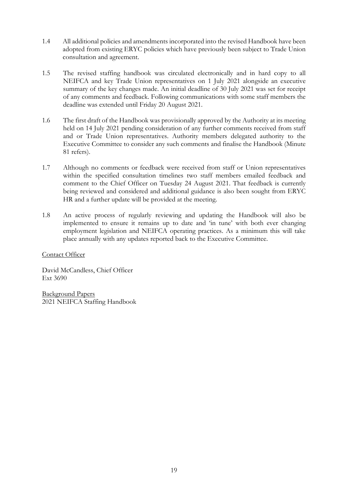- 1.4 All additional policies and amendments incorporated into the revised Handbook have been adopted from existing ERYC policies which have previously been subject to Trade Union consultation and agreement.
- 1.5 The revised staffing handbook was circulated electronically and in hard copy to all NEIFCA and key Trade Union representatives on 1 July 2021 alongside an executive summary of the key changes made. An initial deadline of 30 July 2021 was set for receipt of any comments and feedback. Following communications with some staff members the deadline was extended until Friday 20 August 2021.
- 1.6 The first draft of the Handbook was provisionally approved by the Authority at its meeting held on 14 July 2021 pending consideration of any further comments received from staff and or Trade Union representatives. Authority members delegated authority to the Executive Committee to consider any such comments and finalise the Handbook (Minute 81 refers).
- 1.7 Although no comments or feedback were received from staff or Union representatives within the specified consultation timelines two staff members emailed feedback and comment to the Chief Officer on Tuesday 24 August 2021. That feedback is currently being reviewed and considered and additional guidance is also been sought from ERYC HR and a further update will be provided at the meeting.
- 1.8 An active process of regularly reviewing and updating the Handbook will also be implemented to ensure it remains up to date and 'in tune' with both ever changing employment legislation and NEIFCA operating practices. As a minimum this will take place annually with any updates reported back to the Executive Committee.

#### Contact Officer

David McCandless, Chief Officer Ext 3690

Background Papers 2021 NEIFCA Staffing Handbook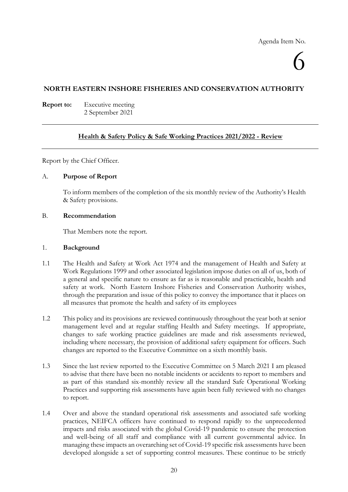# 6

#### **NORTH EASTERN INSHORE FISHERIES AND CONSERVATION AUTHORITY**

**Report to:** Executive meeting 2 September 2021

#### **Health & Safety Policy & Safe Working Practices 2021/2022 - Review**

Report by the Chief Officer.

#### A. **Purpose of Report**

To inform members of the completion of the six monthly review of the Authority's Health & Safety provisions.

#### B. **Recommendation**

That Members note the report.

#### 1. **Background**

- 1.1 The Health and Safety at Work Act 1974 and the management of Health and Safety at Work Regulations 1999 and other associated legislation impose duties on all of us, both of a general and specific nature to ensure as far as is reasonable and practicable, health and safety at work. North Eastern Inshore Fisheries and Conservation Authority wishes, through the preparation and issue of this policy to convey the importance that it places on all measures that promote the health and safety of its employees
- 1.2 This policy and its provisions are reviewed continuously throughout the year both at senior management level and at regular staffing Health and Safety meetings. If appropriate, changes to safe working practice guidelines are made and risk assessments reviewed, including where necessary, the provision of additional safety equipment for officers. Such changes are reported to the Executive Committee on a sixth monthly basis.
- 1.3 Since the last review reported to the Executive Committee on 5 March 2021 I am pleased to advise that there have been no notable incidents or accidents to report to members and as part of this standard six-monthly review all the standard Safe Operational Working Practices and supporting risk assessments have again been fully reviewed with no changes to report.
- 1.4 Over and above the standard operational risk assessments and associated safe working practices, NEIFCA officers have continued to respond rapidly to the unprecedented impacts and risks associated with the global Covid-19 pandemic to ensure the protection and well-being of all staff and compliance with all current governmental advice. In managing these impacts an overarching set of Covid-19 specific risk assessments have been developed alongside a set of supporting control measures. These continue to be strictly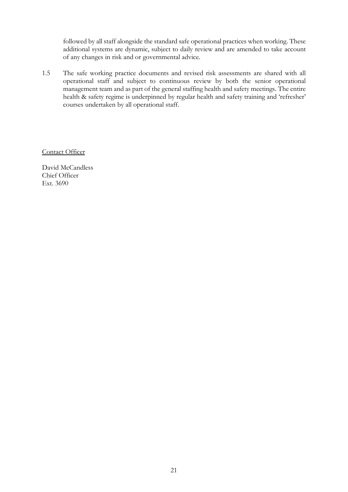followed by all staff alongside the standard safe operational practices when working. These additional systems are dynamic, subject to daily review and are amended to take account of any changes in risk and or governmental advice.

1.5 The safe working practice documents and revised risk assessments are shared with all operational staff and subject to continuous review by both the senior operational management team and as part of the general staffing health and safety meetings. The entire health & safety regime is underpinned by regular health and safety training and 'refresher' courses undertaken by all operational staff.

Contact Officer

David McCandless Chief Officer Ext. 3690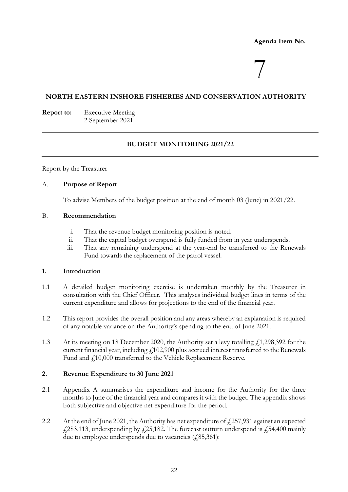#### **Agenda Item No.**

# 7

#### **NORTH EASTERN INSHORE FISHERIES AND CONSERVATION AUTHORITY**

**Report to:** Executive Meeting 2 September 2021

#### **BUDGET MONITORING 2021/22**

Report by the Treasurer

#### A. **Purpose of Report**

To advise Members of the budget position at the end of month 03 (June) in 2021/22.

#### B. **Recommendation**

- i. That the revenue budget monitoring position is noted.
- ii. That the capital budget overspend is fully funded from in year underspends.
- iii. That any remaining underspend at the year-end be transferred to the Renewals Fund towards the replacement of the patrol vessel.

#### **1. Introduction**

- 1.1 A detailed budget monitoring exercise is undertaken monthly by the Treasurer in consultation with the Chief Officer. This analyses individual budget lines in terms of the current expenditure and allows for projections to the end of the financial year.
- 1.2 This report provides the overall position and any areas whereby an explanation is required of any notable variance on the Authority's spending to the end of June 2021.
- 1.3 At its meeting on 18 December 2020, the Authority set a levy totalling  $\ell$ 1,298,392 for the current financial year, including  $f<sub>1</sub>102,900$  plus accrued interest transferred to the Renewals Fund and £10,000 transferred to the Vehicle Replacement Reserve.

#### **2. Revenue Expenditure to 30 June 2021**

- 2.1 Appendix A summarises the expenditure and income for the Authority for the three months to June of the financial year and compares it with the budget. The appendix shows both subjective and objective net expenditure for the period.
- 2.2 At the end of June 2021, the Authority has net expenditure of  $f$  257,931 against an expected  $£283,113$ , underspending by  $£25,182$ . The forecast outturn underspend is  $£54,400$  mainly due to employee underspends due to vacancies  $(2,85,361)$ :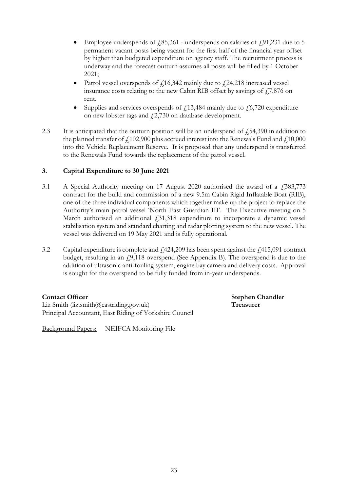- Employee underspends of  $f(85,361)$  underspends on salaries of  $f(91,231)$  due to 5 permanent vacant posts being vacant for the first half of the financial year offset by higher than budgeted expenditure on agency staff. The recruitment process is underway and the forecast outturn assumes all posts will be filled by 1 October 2021;
- Patrol vessel overspends of  $f$ 16,342 mainly due to  $f$ 24,218 increased vessel insurance costs relating to the new Cabin RIB offset by savings of  $\sqrt{7,876}$  on rent.
- Supplies and services overspends of  $f13,484$  mainly due to  $f6,720$  expenditure on new lobster tags and  $\frac{1}{2}$ ,730 on database development.
- 2.3 It is anticipated that the outturn position will be an underspend of  $\ell$ 54,390 in addition to the planned transfer of  $f102,900$  plus accrued interest into the Renewals Fund and  $f10,000$ into the Vehicle Replacement Reserve. It is proposed that any underspend is transferred to the Renewals Fund towards the replacement of the patrol vessel.

#### **3. Capital Expenditure to 30 June 2021**

- 3.1 A Special Authority meeting on 17 August 2020 authorised the award of a  $\mu$  383,773 contract for the build and commission of a new 9.5m Cabin Rigid Inflatable Boat (RIB), one of the three individual components which together make up the project to replace the Authority's main patrol vessel 'North East Guardian III'. The Executive meeting on 5 March authorised an additional  $\dot{f}$ ,31,318 expenditure to incorporate a dynamic vessel stabilisation system and standard charting and radar plotting system to the new vessel. The vessel was delivered on 19 May 2021 and is fully operational.
- 3.2 Capital expenditure is complete and  $\text{\emph{L}}(424,209)$  has been spent against the  $\text{\emph{L}}(415,091)$  contract budget, resulting in an  $f(9,118)$  overspend (See Appendix B). The overspend is due to the addition of ultrasonic anti-fouling system, engine bay camera and delivery costs. Approval is sought for the overspend to be fully funded from in-year underspends.

Liz Smith (liz.smith@eastriding.gov.uk) **Treasurer** Principal Accountant, East Riding of Yorkshire Council

Background Papers: NEIFCA Monitoring File

**Contact Officer Stephen Chandler**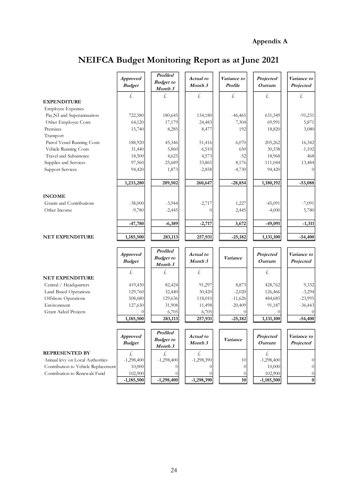# **Appendix A**

# **NEIFCA Budget Monitoring Report as at June 2021**

|                                     | <b>Approved</b><br><b>Budget</b> | <b>Profiled</b><br><b>Budget</b> to<br>Month 3 | Actual to<br>Month 3 | Variance to<br>Profile | Projected<br>Outturn | Variance to<br>Projected |
|-------------------------------------|----------------------------------|------------------------------------------------|----------------------|------------------------|----------------------|--------------------------|
| <b>EXPENDITURE</b>                  | £                                | Ł,                                             | £,                   | £,                     | Ł.                   | £,                       |
| <b>Employee Expenses</b>            |                                  |                                                |                      |                        |                      |                          |
| Pay,NI and Superannuation           | 722,580                          | 180,645                                        | 134,180              | $-46,465$              | 631,349              | $-91,231$                |
| Other Employee Costs                | 64,120                           | 17,179                                         | 24,483               | 7,304                  | 69,991               | 5,871                    |
| Premises                            | 15,740                           | 8,285                                          | 8,477                | 192                    | 18,820               | 3,080                    |
| Transport                           |                                  |                                                |                      |                        |                      |                          |
| Patrol Vessel Running Costs         | 188,920                          | 45,346                                         | 51,416               | 6,070                  | 205,262              | 16,342                   |
| Vehicle Running Costs               | 31,440                           | 5,860                                          | 6,510                | 650                    | 30,338               | $-1,102$                 |
| Travel and Subsistence              | 18,500                           | 4,625                                          | 4,573                | $-52$                  | 18,968               | 468                      |
| Supplies and Services               | 97,560                           | 25,689                                         | 33,865               | 8,176                  | 111,044              | 13,484                   |
| <b>Support Services</b>             | 94,420                           | 1,873                                          | $-2,858$             | $-4,730$               | 94,420               | $\theta$                 |
|                                     | 1,233,280                        | 289,502                                        | 260,647              | $-28,854$              | 1,180,192            | $-53,088$                |
| <b>INCOME</b>                       |                                  |                                                |                      |                        |                      |                          |
| Grants and Contributions            | $-38,000$                        | $-3,944$                                       | $-2,717$             | 1,227                  | $-45,091$            | $-7,091$                 |
| Other Income                        | $-9,780$                         | $-2,445$                                       | $\theta$             | 2,445                  | $-4,000$             | 5,780                    |
|                                     | $-47,780$                        | $-6,389$                                       | $-2,717$             | 3,672                  | $-49,091$            | $-1,311$                 |
| <b>NET EXPENDITURE</b>              | 1,185,500                        | 283,113                                        | 257,931              | $-25,182$              | 1,131,100            | $-54,400$                |
|                                     |                                  | Profiled                                       |                      |                        |                      |                          |
|                                     | <b>Approved</b><br><b>Budget</b> | <b>Budget</b> to<br>Month 3                    | Actual to<br>Month 3 | Variance               | Projected<br>Outturn | Variance to<br>Projected |
|                                     | £,                               | £,                                             | £                    |                        | £,                   |                          |
| <b>NET EXPENDITURE</b>              |                                  |                                                |                      |                        |                      |                          |
| Central / Headquarters              | 419,430                          | 82,424                                         | 91,297               | 8,873                  | 428,762              | 9,332                    |
| Land Based Operations               | 129,760                          | 32,440                                         | 30,420               | $-2,020$               | 126,466              | $-3,294$                 |
| Offshore Operations                 | 508,680                          | 129,636                                        | 118,010              | $-11,626$              | 484,685              | $-23,995$                |
| Environment                         | 127,630                          | 31,908                                         | 11,498               | $-20,409$              | 91,187               | $-36,443$                |
| <b>Grant Aided Projects</b>         |                                  | 6,705                                          | 6,705                | $\theta$               | $\Omega$             |                          |
|                                     | 1,185,500                        | 283,113                                        | 257,931              | $-25,182$              | 1,131,100            | $-54,400$                |
|                                     |                                  | Profiled                                       |                      |                        |                      |                          |
|                                     | <b>Approved</b>                  | <b>Budget</b> to                               | Actual to            | Variance               | Projected            | Variance to              |
|                                     | <b>Budget</b>                    | Month 3                                        | Month 3              |                        | Outturn              | Projected                |
| <b>REPRESENTED BY</b>               | £,                               | £,                                             | £,                   |                        | £,                   |                          |
| Annual levy on Local Authorities    | $-1,298,400$                     | $-1,298,400$                                   | $-1,298,390$         | 10                     | $-1,298,400$         | 0                        |
| Contribution to Vehicle Replacement | 10,000                           | $\theta$                                       | 0                    | $\theta$               | 10,000               | $\overline{0}$           |
| Contribution to Renewals Fund       | 102,900                          | $\theta$                                       | $\theta$             | $\theta$               | 102,900              | $\theta$                 |
|                                     | $-1,185,500$                     | $-1,298,400$                                   | $-1,298,390$         | 10                     | $-1,185,500$         | $\boldsymbol{0}$         |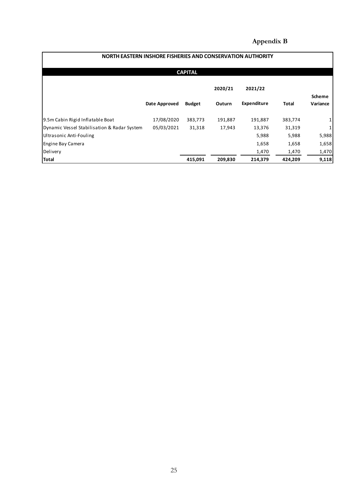# **Appendix B**

| NORTH EASTERN INSHORE FISHERIES AND CONSERVATION AUTHORITY |               |               |         |                    |         |                           |  |  |  |  |
|------------------------------------------------------------|---------------|---------------|---------|--------------------|---------|---------------------------|--|--|--|--|
| <b>CAPITAL</b>                                             |               |               |         |                    |         |                           |  |  |  |  |
|                                                            |               |               | 2020/21 | 2021/22            |         |                           |  |  |  |  |
|                                                            | Date Approved | <b>Budget</b> | Outurn  | <b>Expenditure</b> | Total   | <b>Scheme</b><br>Variance |  |  |  |  |
| 9.5m Cabin Rigid Inflatable Boat                           | 17/08/2020    | 383,773       | 191,887 | 191,887            | 383,774 | 1                         |  |  |  |  |
| Dynamic Vessel Stabilisation & Radar System                | 05/03/2021    | 31,318        | 17,943  | 13,376             | 31,319  | $\mathbf{1}$              |  |  |  |  |
| Ultrasonic Anti-Fouling                                    |               |               |         | 5,988              | 5,988   | 5,988                     |  |  |  |  |
| Engine Bay Camera                                          |               |               |         | 1,658              | 1,658   | 1,658                     |  |  |  |  |
| Delivery                                                   |               |               |         | 1,470              | 1,470   | 1,470                     |  |  |  |  |
| <b>Total</b>                                               |               | 415,091       | 209,830 | 214,379            | 424,209 | 9,118                     |  |  |  |  |